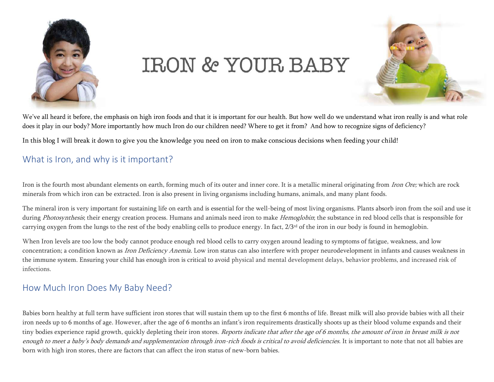

# **IRON & YOUR BABY**



We've all heard it before, the emphasis on high iron foods and that it is important for our health. But how well do we understand what iron really is and what role does it play in our body? More importantly how much Iron do our children need? Where to get it from? And how to recognize signs of deficiency?

In this blog I will break it down to give you the knowledge you need on iron to make conscious decisions when feeding your child!

# What is Iron, and why is it important?

Iron is the fourth most abundant elements on earth, forming much of its outer and inner core. It is a metallic mineral originating from Iron Ore; which are rock minerals from which iron can be extracted. Iron is also present in living organisms including humans, animals, and many plant foods.

The mineral iron is very important for sustaining life on earth and is essential for the well-being of most living organisms. Plants absorb iron from the soil and use it during Photosynthesis; their energy creation process. Humans and animals need iron to make Hemoglobin; the substance in red blood cells that is responsible for carrying oxygen from the lungs to the rest of the body enabling cells to produce energy. In fact, 2/3<sup>rd</sup> of the iron in our body is found in hemoglobin.

When Iron levels are too low the body cannot produce enough red blood cells to carry oxygen around leading to symptoms of fatigue, weakness, and low concentration; a condition known as *Iron Deficiency Anemia*. Low iron status can also interfere with proper neurodevelopment in infants and causes weakness in the immune system. Ensuring your child has enough iron is critical to avoid physical and mental development delays, behavior problems, and increased risk of infections.

## How Much Iron Does My Baby Need?

Babies born healthy at full term have sufficient iron stores that will sustain them up to the first 6 months of life. Breast milk will also provide babies with all their iron needs up to 6 months of age. However, after the age of 6 months an infant's iron requirements drastically shoots up as their blood volume expands and their tiny bodies experience rapid growth, quickly depleting their iron stores. Reports indicate that after the age of 6 months, the amount of iron in breast milk is not enough to meet a baby's body demands and supplementation through iron-rich foods is critical to avoid deficiencies. It is important to note that not all babies are born with high iron stores, there are factors that can affect the iron status of new-born babies.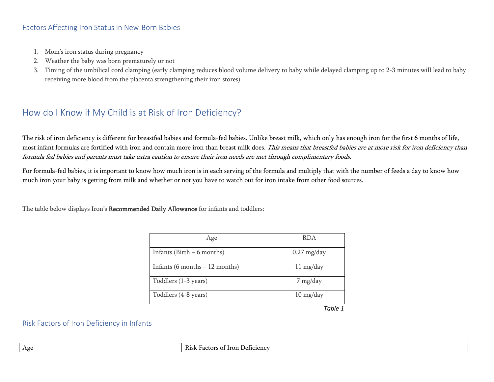### Factors Affecting Iron Status in New-Born Babies

- 1. Mom's iron status during pregnancy
- 2. Weather the baby was born prematurely or not
- 3. Timing of the umbilical cord clamping (early clamping reduces blood volume delivery to baby while delayed clamping up to 2-3 minutes will lead to baby receiving more blood from the placenta strengthening their iron stores)

## How do I Know if My Child is at Risk of Iron Deficiency?

The risk of iron deficiency is different for breastfed babies and formula-fed babies. Unlike breast milk, which only has enough iron for the first 6 months of life, most infant formulas are fortified with iron and contain more iron than breast milk does. This means that breastfed babies are at more risk for iron deficiency than formula fed babies and parents must take extra caution to ensure their iron needs are met through complimentary foods.

For formula-fed babies, it is important to know how much iron is in each serving of the formula and multiply that with the number of feeds a day to know how much iron your baby is getting from milk and whether or not you have to watch out for iron intake from other food sources.

The table below displays Iron's Recommended Daily Allowance for infants and toddlers:

| Age                             | <b>RDA</b>                        |
|---------------------------------|-----------------------------------|
| Infants (Birth $-6$ months)     | $0.27$ mg/day                     |
| Infants (6 months $-12$ months) | $11 \text{ mg/day}$               |
| Toddlers (1-3 years)            | $7 \text{ mg/day}$                |
| Toddlers (4-8 years)            | $10 \frac{\text{mg}}{\text{day}}$ |
|                                 | Tahle 1                           |

#### Risk Factors of Iron Deficiency in Infants

| Age<br>. Deficiency<br>K1Sk<br>100 <sup>o<br/>` Iron-<br/>ΩĪ<br/>Factors</sup> |
|--------------------------------------------------------------------------------|
|--------------------------------------------------------------------------------|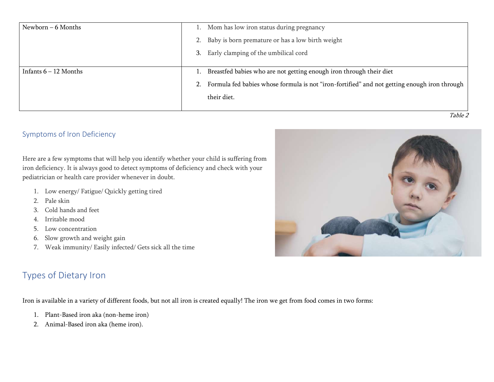| Newborn – 6 Months      | 1. Mom has low iron status during pregnancy                                                     |  |
|-------------------------|-------------------------------------------------------------------------------------------------|--|
|                         | 2. Baby is born premature or has a low birth weight                                             |  |
|                         | 3. Early clamping of the umbilical cord                                                         |  |
|                         |                                                                                                 |  |
| Infants $6 - 12$ Months | 1. Breastfed babies who are not getting enough iron through their diet                          |  |
|                         | 2. Formula fed babies whose formula is not "iron-fortified" and not getting enough iron through |  |
|                         | their diet.                                                                                     |  |
|                         |                                                                                                 |  |
|                         | Table 2                                                                                         |  |

## Symptoms of Iron Deficiency

Here are a few symptoms that will help you identify whether your child is suffering from iron deficiency. It is always good to detect symptoms of deficiency and check with your pediatrician or health care provider whenever in doubt.

- 1. Low energy/ Fatigue/ Quickly getting tired
- 2. Pale skin
- 3. Cold hands and feet
- 4. Irritable mood
- 5. Low concentration
- 6. Slow growth and weight gain
- 7. Weak immunity/ Easily infected/ Gets sick all the time

# Types of Dietary Iron

Iron is available in a variety of different foods, but not all iron is created equally! The iron we get from food comes in two forms:

- 1. Plant-Based iron aka (non-heme iron)
- 2. Animal-Based iron aka (heme iron).

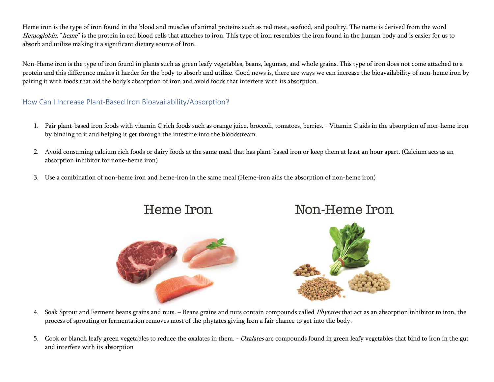Heme iron is the type of iron found in the blood and muscles of animal proteins such as red meat, seafood, and poultry. The name is derived from the word Hemoglobin, "heme" is the protein in red blood cells that attaches to iron. This type of iron resembles the iron found in the human body and is easier for us to absorb and utilize making it a significant dietary source of Iron.

Non-Heme iron is the type of iron found in plants such as green leafy vegetables, beans, legumes, and whole grains. This type of iron does not come attached to a protein and this difference makes it harder for the body to absorb and utilize. Good news is, there are ways we can increase the bioavailability of non-heme iron by pairing it with foods that aid the body's absorption of iron and avoid foods that interfere with its absorption.

## How Can I Increase Plant-Based Iron Bioavailability/Absorption?

- 1. Pair plant-based iron foods with vitamin C rich foods such as orange juice, broccoli, tomatoes, berries. Vitamin C aids in the absorption of non-heme iron by binding to it and helping it get through the intestine into the bloodstream.
- 2. Avoid consuming calcium rich foods or dairy foods at the same meal that has plant-based iron or keep them at least an hour apart. (Calcium acts as an absorption inhibitor for none-heme iron)
- 3. Use a combination of non-heme iron and heme-iron in the same meal (Heme-iron aids the absorption of non-heme iron)

Heme Iron



Non-Heme Iron

- 4. Soak Sprout and Ferment beans grains and nuts. Beans grains and nuts contain compounds called *Phytates* that act as an absorption inhibitor to iron, the process of sprouting or fermentation removes most of the phytates giving Iron a fair chance to get into the body.
- 5. Cook or blanch leafy green vegetables to reduce the oxalates in them. *Oxalates* are compounds found in green leafy vegetables that bind to iron in the gut and interfere with its absorption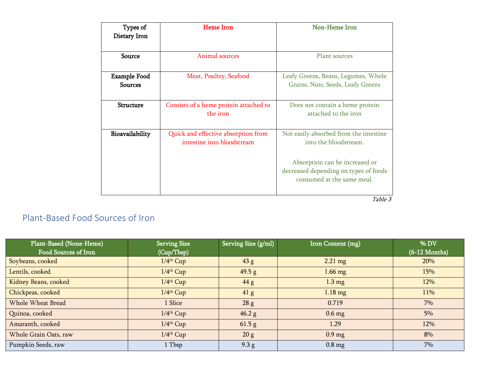| Types of<br>Dietary Iron              | <b>Heme</b> Iron                                                  | Non-Heme Iron                                                                                                                                                            |
|---------------------------------------|-------------------------------------------------------------------|--------------------------------------------------------------------------------------------------------------------------------------------------------------------------|
| Source                                | Animal sources                                                    | Plant sources                                                                                                                                                            |
| <b>Example Food</b><br><b>Sources</b> | Meat, Poultry, Seafood                                            | Leafy Greens, Beans, Legumes, Whole<br>Grains, Nuts, Seeds, Leafy Greens                                                                                                 |
| <b>Structure</b>                      | Consists of a heme protein attached to<br>the iron                | Does not contain a heme protein<br>attached to the iron                                                                                                                  |
| Bioavailability                       | Quick and effective absorption from<br>intestine into bloodstream | Not easily absorbed from the intestine<br>into the bloodstream.<br>Absorption can be increased or<br>decreased depending on types of foods<br>consumed at the same meal. |

Table 3

# Plant-Based Food Sources of Iron

| Plant-Based (None-Heme) | <b>Serving Size</b>     | Serving Size (g/ml) | Iron Content (mg) | % DV            |
|-------------------------|-------------------------|---------------------|-------------------|-----------------|
| Food Sources of Iron    | (Cup/Tbsp)              |                     |                   | $(6-12$ Months) |
| Soybeans, cooked        | $1/4$ <sup>th</sup> Cup | 43 g                | $2.21 \text{ mg}$ | <b>20%</b>      |
| Lentils, cooked         | $1/4$ <sup>th</sup> Cup | 49.5 g              | $1.66$ mg         | 15%             |
| Kidney Beans, cooked    | $1/4$ <sup>th</sup> Cup | 44 g                | $1.3 \text{ mg}$  | 12%             |
| Chickpeas, cooked       | $1/4$ <sup>th</sup> Cup | 41 <sub>g</sub>     | $1.18 \text{ mg}$ | 11%             |
| Whole Wheat Bread       | 1 Slice                 | 28g                 | 0.719             | 7%              |
| Quinoa, cooked          | $1/4$ <sup>th</sup> Cup | 46.2 g              | $0.6$ mg          | 5%              |
| Amaranth, cooked        | $1/4$ <sup>th</sup> Cup | 61.5 g              | 1.29              | 12%             |
| Whole Grain Oats, raw   | $1/4$ <sup>th</sup> Cup | 20 g                | $0.9$ mg          | 8%              |
| Pumpkin Seeds, raw      | 1 Tbsp                  | 9.3 g               | $0.8$ mg          | $7\%$           |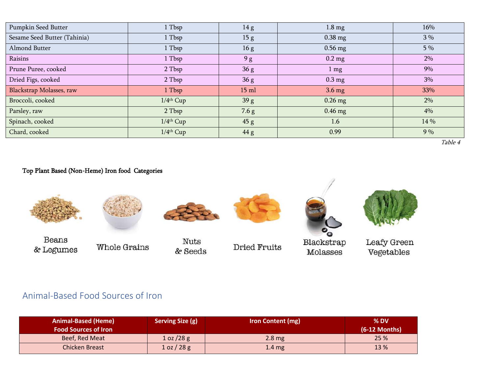| Pumpkin Seed Butter          | 1 Tbsp                  | 14 <sub>g</sub> | $1.8 \text{ mg}$ | 16%   |
|------------------------------|-------------------------|-----------------|------------------|-------|
| Sesame Seed Butter (Tahinia) | 1 Tbsp                  | 15 <sub>g</sub> | $0.38$ mg        | $3\%$ |
| Almond Butter                | 1 Tbsp                  | 16g             | $0.56$ mg        | 5 %   |
| Raisins                      | 1 Tbsp                  | 9 <sub>g</sub>  | $0.2$ mg         | 2%    |
| Prune Puree, cooked          | 2 Tbsp                  | 36g             | $1 \text{ mg}$   | 9%    |
| Dried Figs, cooked           | 2 Tbsp                  | 36g             | $0.3 \text{ mg}$ | 3%    |
| Blackstrap Molasses, raw     | 1 Tbsp                  | $15$ ml         | $3.6 \text{ mg}$ | 33%   |
| Broccoli, cooked             | $1/4$ <sup>th</sup> Cup | 39 g            | $0.26$ mg        | 2%    |
| Parsley, raw                 | 2 Tbsp                  | 7.6 g           | $0.46$ mg        | 4%    |
| Spinach, cooked              | $1/4$ <sup>th</sup> Cup | 45 g            | 1.6              | 14 %  |
| Chard, cooked                | $1/4$ <sup>th</sup> Cup | 44 g            | 0.99             | 9%    |

Table 4

## Top Plant Based (Non-Heme) Iron food Categories



# Animal-Based Food Sources of Iron

| <b>Animal-Based (Heme)</b><br><b>Food Sources of Iron</b> | <b>Serving Size (g)</b> | <b>Iron Content (mg)</b> | $%$ DV<br>$(6-12$ Months) |
|-----------------------------------------------------------|-------------------------|--------------------------|---------------------------|
| Beef, Red Meat                                            | 1 oz / 28 g             | $2.8 \text{ mg}$         | 25 %                      |
| Chicken Breast                                            | 1 oz / 28 g             | $1.4 \text{ mg}$         | 13 %                      |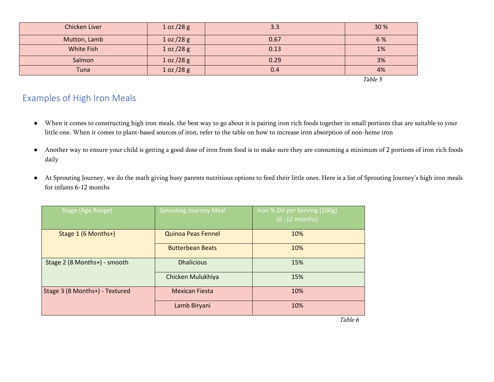| Chicken Liver | 1 oz / 28 g | 3.3  | 30 %    |
|---------------|-------------|------|---------|
| Mutton, Lamb  | 1 oz / 28 g | 0.67 | 6 %     |
| White Fish    | 1 oz / 28 g | 0.13 | 1%      |
| Salmon        | 1 oz / 28 g | 0.29 | 3%      |
| Tuna          | 1 oz / 28 g | 0.4  | 4%      |
|               |             |      | Table 5 |

# Examples of High Iron Meals

- When it comes to constructing high iron meals, the best way to go about it is pairing iron rich foods together in small portions that are suitable to your little one. When it comes to plant-based sources of iron, refer to the table on how to increase iron absorption of non-heme iron
- Another way to ensure your child is getting a good dose of iron from food is to make sure they are consuming a minimum of 2 portions of iron rich foods daily
- At Sprouting Journey, we do the math giving busy parents nutritious options to feed their little ones. Here is a list of Sprouting Journey's high iron meals for infants 6-12 months

| Stage (Age Range)              | <b>Sprouting Journey Meal</b> | Iron % DV per Serving (100g)<br>$(6 - 12$ months) |
|--------------------------------|-------------------------------|---------------------------------------------------|
| Stage 1 (6 Months+)            | <b>Quinoa Peas Fennel</b>     | 10%                                               |
|                                | <b>Butterbean Beats</b>       | 10%                                               |
| Stage 2 (8 Months+) - smooth   | <b>Dhalicious</b>             | 15%                                               |
|                                | Chicken Mulukhiya             | 15%                                               |
| Stage 3 (8 Months+) - Textured | <b>Mexican Fiesta</b>         | 10%                                               |
|                                | Lamb Biryani                  | 10%                                               |

Table 6